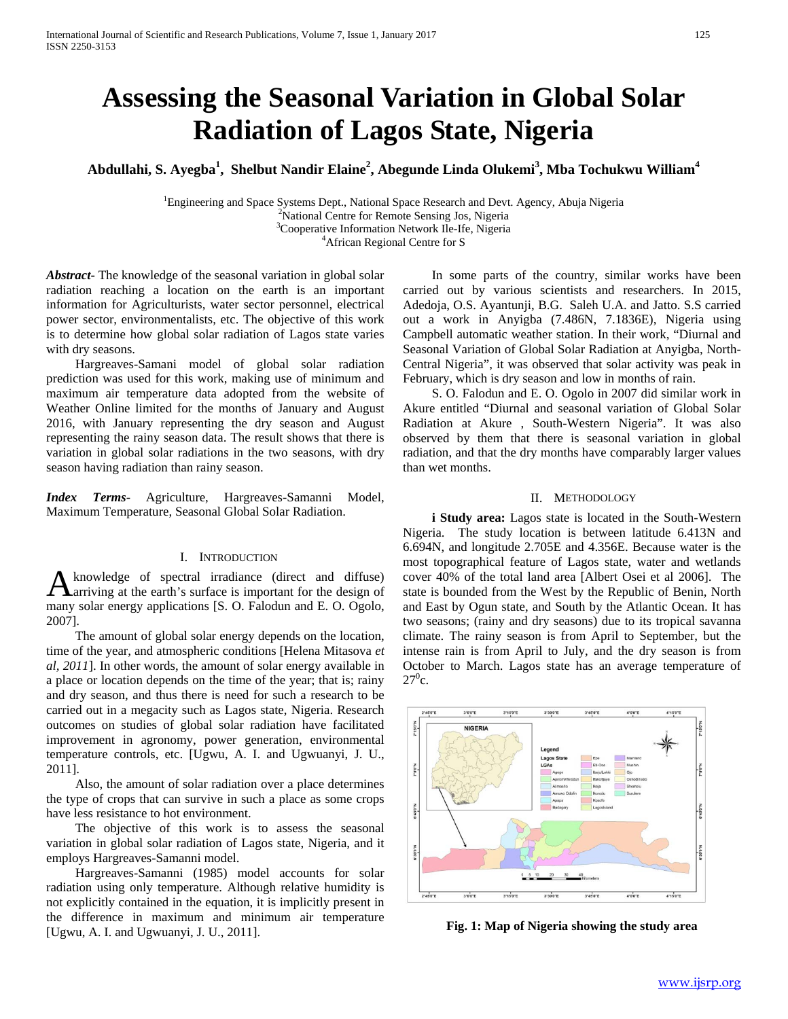# **Assessing the Seasonal Variation in Global Solar Radiation of Lagos State, Nigeria**

**Abdullahi, S. Ayegba<sup>1</sup> , Shelbut Nandir Elaine2 , Abegunde Linda Olukemi<sup>3</sup> , Mba Tochukwu William<sup>4</sup>**

<sup>1</sup>Engineering and Space Systems Dept., National Space Research and Devt. Agency, Abuja Nigeria National Centre for Remote Sensing Jos, Nigeria <sup>3</sup> <sup>3</sup>Cooperative Information Network Ile-Ife, Nigeria African Regional Centre for S

*Abstract***-** The knowledge of the seasonal variation in global solar radiation reaching a location on the earth is an important information for Agriculturists, water sector personnel, electrical power sector, environmentalists, etc. The objective of this work is to determine how global solar radiation of Lagos state varies with dry seasons.

 Hargreaves-Samani model of global solar radiation prediction was used for this work, making use of minimum and maximum air temperature data adopted from the website of Weather Online limited for the months of January and August 2016, with January representing the dry season and August representing the rainy season data. The result shows that there is variation in global solar radiations in the two seasons, with dry season having radiation than rainy season.

*Index Terms*- Agriculture, Hargreaves-Samanni Model, Maximum Temperature, Seasonal Global Solar Radiation.

## I. INTRODUCTION

knowledge of spectral irradiance (direct and diffuse) A knowledge of spectral irradiance (direct and diffuse)<br>A arriving at the earth's surface is important for the design of many solar energy applications [S. O. Falodun and E. O. Ogolo, 2007].

 The amount of global solar energy depends on the location, time of the year, and atmospheric conditions [Helena Mitasova *et al, 2011*]. In other words, the amount of solar energy available in a place or location depends on the time of the year; that is; rainy and dry season, and thus there is need for such a research to be carried out in a megacity such as Lagos state, Nigeria. Research outcomes on studies of global solar radiation have facilitated improvement in agronomy, power generation, environmental temperature controls, etc. [Ugwu, A. I. and Ugwuanyi, J. U., 2011].

 Also, the amount of solar radiation over a place determines the type of crops that can survive in such a place as some crops have less resistance to hot environment.

 The objective of this work is to assess the seasonal variation in global solar radiation of Lagos state, Nigeria, and it employs Hargreaves-Samanni model.

 Hargreaves-Samanni (1985) model accounts for solar radiation using only temperature. Although relative humidity is not explicitly contained in the equation, it is implicitly present in the difference in maximum and minimum air temperature [Ugwu, A. I. and Ugwuanyi, J. U., 2011].

 In some parts of the country, similar works have been carried out by various scientists and researchers. In 2015, Adedoja, O.S. Ayantunji, B.G. Saleh U.A. and Jatto. S.S carried out a work in Anyigba (7.486N, 7.1836E), Nigeria using Campbell automatic weather station. In their work, "Diurnal and Seasonal Variation of Global Solar Radiation at Anyigba, North-Central Nigeria", it was observed that solar activity was peak in February, which is dry season and low in months of rain.

 S. O. Falodun and E. O. Ogolo in 2007 did similar work in Akure entitled "Diurnal and seasonal variation of Global Solar Radiation at Akure , South-Western Nigeria". It was also observed by them that there is seasonal variation in global radiation, and that the dry months have comparably larger values than wet months.

#### II. METHODOLOGY

**i Study area:** Lagos state is located in the South-Western Nigeria. The study location is between latitude 6.413N and 6.694N, and longitude 2.705E and 4.356E. Because water is the most topographical feature of Lagos state, water and wetlands cover 40% of the total land area [Albert Osei et al 2006]. The state is bounded from the West by the Republic of Benin, North and East by Ogun state, and South by the Atlantic Ocean. It has two seasons; (rainy and dry seasons) due to its tropical savanna climate. The rainy season is from April to September, but the intense rain is from April to July, and the dry season is from October to March. Lagos state has an average temperature of  $27^0c.$ 



**Fig. 1: Map of Nigeria showing the study area**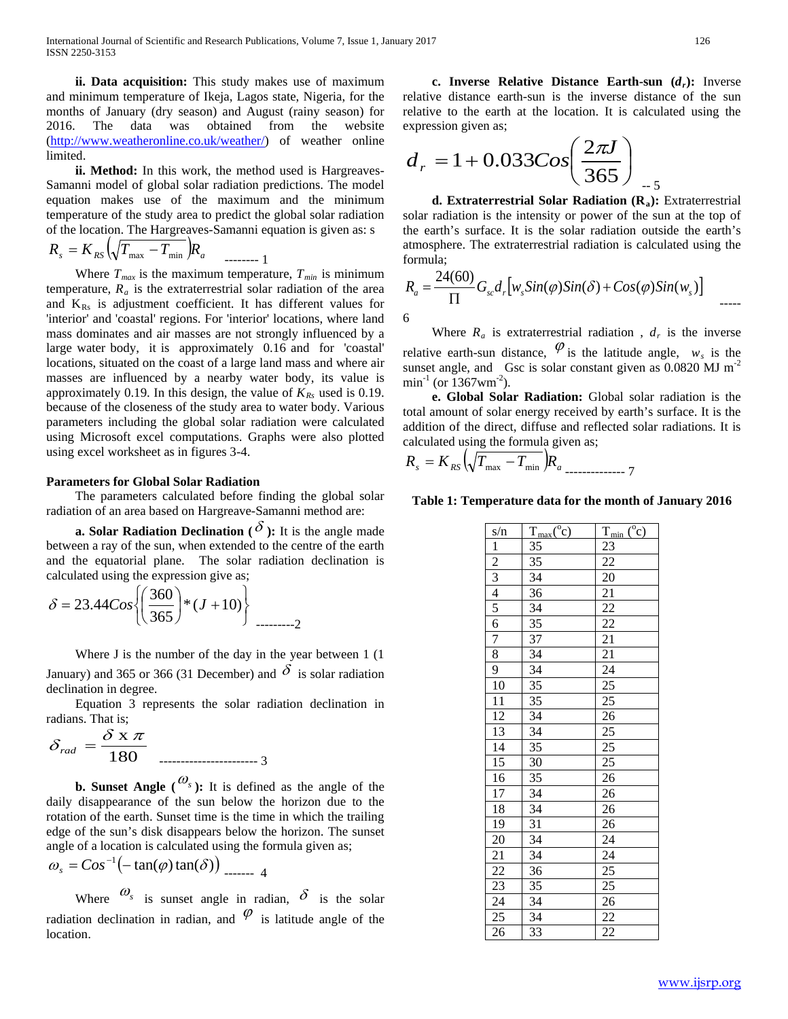**ii. Data acquisition:** This study makes use of maximum and minimum temperature of Ikeja, Lagos state, Nigeria, for the months of January (dry season) and August (rainy season) for 2016. The data was obtained from the website [\(http://www.weatheronline.co.uk/weather/\)](http://www.weatheronline.co.uk/weather/) of weather online limited.

 **ii. Method:** In this work, the method used is Hargreaves-Samanni model of global solar radiation predictions. The model equation makes use of the maximum and the minimum temperature of the study area to predict the global solar radiation of the location. The Hargreaves-Samanni equation is given as: s

$$
R_s = K_{RS} \left( \sqrt{T_{\text{max}}} - T_{\text{min}} \right) R_a \quad \dots \quad 1
$$

Where  $T_{max}$  is the maximum temperature,  $T_{min}$  is minimum temperature,  $R_a$  is the extraterrestrial solar radiation of the area and  $K_{Rs}$  is adjustment coefficient. It has different values for 'interior' and 'coastal' regions. For 'interior' locations, where land mass dominates and air masses are not strongly influenced by a large water body, it is approximately 0.16 and for 'coastal' locations, situated on the coast of a large land mass and where air masses are influenced by a nearby water body, its value is approximately 0.19. In this design, the value of  $K_{Rs}$  used is 0.19. because of the closeness of the study area to water body. Various parameters including the global solar radiation were calculated using Microsoft excel computations. Graphs were also plotted using excel worksheet as in figures 3-4.

#### **Parameters for Global Solar Radiation**

 The parameters calculated before finding the global solar radiation of an area based on Hargreave-Samanni method are:

**a. Solar Radiation Declination (** $\delta$ **):** It is the angle made between a ray of the sun, when extended to the centre of the earth and the equatorial plane. The solar radiation declination is calculated using the expression give as;

$$
\delta = 23.44 \cos \left\{ \left( \frac{360}{365} \right) * (J + 10) \right\}
$$

Where J is the number of the day in the year between 1 (1) January) and 365 or 366 (31 December) and  $\delta$  is solar radiation declination in degree.

 Equation 3 represents the solar radiation declination in radians. That is;

$$
\delta_{rad} = \frac{\delta \times \pi}{180}
$$
 3

**b. Sunset Angle**  $(\omega_s)$ **: It is defined as the angle of the** daily disappearance of the sun below the horizon due to the rotation of the earth. Sunset time is the time in which the trailing edge of the sun's disk disappears below the horizon. The sunset angle of a location is calculated using the formula given as;

$$
\omega_s = Cos^{-1}(-\tan(\varphi)\tan(\delta))
$$

Where  $\omega_s$  is sunset angle in radian,  $\delta$  is the solar radiation declination in radian, and  $\varphi$  is latitude angle of the location.

**c.** Inverse Relative Distance Earth-sun  $(d_r)$ : Inverse relative distance earth-sun is the inverse distance of the sun relative to the earth at the location. It is calculated using the expression given as;

$$
d_r = 1 + 0.033 Cos\left(\frac{2\pi J}{365}\right)
$$

**d. Extraterrestrial Solar Radiation (R<sub>a</sub>):** Extraterrestrial solar radiation is the intensity or power of the sun at the top of the earth's surface. It is the solar radiation outside the earth's atmosphere. The extraterrestrial radiation is calculated using the formula;

$$
R_a = \frac{24(60)}{\Pi} G_{sc} d_r \left[ w_s Sin(\varphi) Sin(\delta) + Cos(\varphi) Sin(w_s) \right]
$$

Where  $R_a$  is extraterrestrial radiation,  $d_r$  is the inverse relative earth-sun distance,  $\varphi$  is the latitude angle,  $w_s$  is the sunset angle, and Gsc is solar constant given as  $0.0820 \text{ MJ m}^{-2}$  $min^{-1}$  (or  $1367$ wm<sup>-2</sup>).

 **e. Global Solar Radiation:** Global solar radiation is the total amount of solar energy received by earth's surface. It is the addition of the direct, diffuse and reflected solar radiations. It is calculated using the formula given as;

$$
R_s = K_{RS} \left( \sqrt{T_{\text{max}} - T_{\text{min}}} \right) R_a \right)
$$

### **Table 1: Temperature data for the month of January 2016**

| s/n                                                                                               | $T_{max}(^{\circ}c)$            | $T_{min}$ (°c)                                                                                                                  |
|---------------------------------------------------------------------------------------------------|---------------------------------|---------------------------------------------------------------------------------------------------------------------------------|
|                                                                                                   | $\overline{35}$                 |                                                                                                                                 |
| $\frac{1}{2}$ $\frac{2}{3}$ $\frac{4}{4}$ $\frac{5}{5}$ $\frac{6}{7}$ $\frac{7}{8}$ $\frac{8}{9}$ | $\overline{35}$                 | $\frac{23}{22}$ $\frac{22}{21}$ $\frac{22}{21}$ $\frac{21}{21}$ $\frac{24}{25}$ $\frac{25}{25}$ $\frac{25}{25}$ $\frac{25}{25}$ |
|                                                                                                   | $\overline{34}$                 |                                                                                                                                 |
|                                                                                                   | $\overline{36}$                 |                                                                                                                                 |
|                                                                                                   |                                 |                                                                                                                                 |
|                                                                                                   |                                 |                                                                                                                                 |
|                                                                                                   | $\frac{34}{35}$ $\frac{37}{37}$ |                                                                                                                                 |
|                                                                                                   | 34                              |                                                                                                                                 |
|                                                                                                   |                                 |                                                                                                                                 |
| $\overline{10}$                                                                                   | $rac{34}{35}$                   |                                                                                                                                 |
| $\frac{11}{12}$<br>$\frac{12}{13}$<br>$\frac{14}{15}$<br>$\frac{16}{17}$                          |                                 |                                                                                                                                 |
|                                                                                                   | $\frac{34}{34}$                 |                                                                                                                                 |
|                                                                                                   |                                 |                                                                                                                                 |
|                                                                                                   | $\frac{35}{30}$                 |                                                                                                                                 |
|                                                                                                   |                                 |                                                                                                                                 |
|                                                                                                   | 35                              |                                                                                                                                 |
|                                                                                                   | 34                              |                                                                                                                                 |
|                                                                                                   | 34                              | 26                                                                                                                              |
| $\frac{18}{19}$                                                                                   | 31                              |                                                                                                                                 |
| $\overline{20}$                                                                                   | $\overline{34}$                 |                                                                                                                                 |
| $\overline{21}$                                                                                   | 34                              | $\frac{26}{24}$<br>$\frac{24}{25}$<br>$\frac{25}{25}$                                                                           |
|                                                                                                   | 36                              |                                                                                                                                 |
| $\frac{22}{23}$<br>$\frac{23}{24}$<br>$\frac{24}{25}$                                             | 35                              |                                                                                                                                 |
|                                                                                                   | 34                              | $\overline{26}$                                                                                                                 |
|                                                                                                   | $\frac{34}{5}$                  | $\overline{22}$                                                                                                                 |
| 26                                                                                                | 33                              | $\overline{22}$                                                                                                                 |

-- 5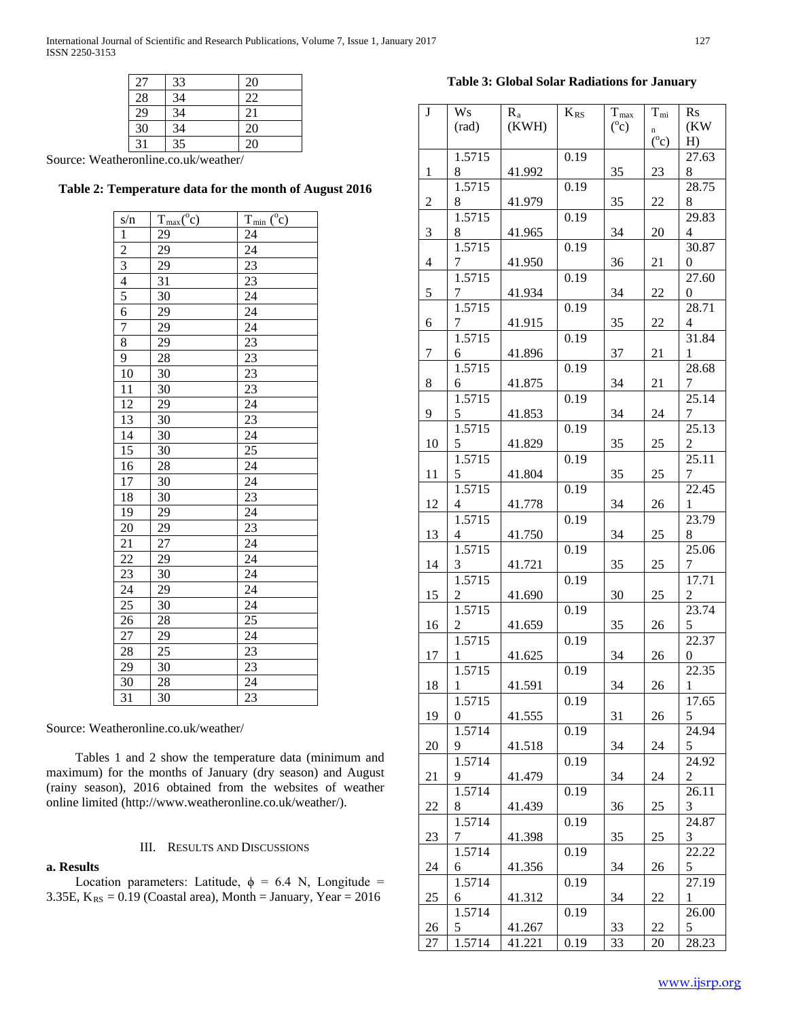International Journal of Scientific and Research Publications, Volume 7, Issue 1, January 2017 127 ISSN 2250-3153

| 27 | 33 | 20 |
|----|----|----|
| 28 | 34 | 22 |
| 29 | 34 | 21 |
| 30 | 34 | 20 |
| 31 | 35 | 20 |

Source: Weatheronline.co.uk/weather/

## **Table 2: Temperature data for the month of August 2016**

| s/n                                                                                               | $T_{\text{max}}({}^{\circ}c)$ | $T_{min}$ ( $\overline{c}$ )                                                                                                                                                            |
|---------------------------------------------------------------------------------------------------|-------------------------------|-----------------------------------------------------------------------------------------------------------------------------------------------------------------------------------------|
|                                                                                                   | $\frac{29}{2}$                | $\frac{24}{5}$                                                                                                                                                                          |
|                                                                                                   | $\frac{29}{29}$               |                                                                                                                                                                                         |
|                                                                                                   |                               |                                                                                                                                                                                         |
|                                                                                                   | $\overline{31}$               |                                                                                                                                                                                         |
| $\frac{1}{2}$ $\frac{2}{3}$ $\frac{4}{4}$ $\frac{5}{5}$ $\frac{6}{6}$ $\frac{7}{7}$ $\frac{8}{9}$ | $\frac{30}{29}$               | $\frac{24}{23} \frac{23}{23} \frac{24}{24} \frac{44}{23} \frac{23}{23} \frac{33}{23} \frac{23}{24} \frac{23}{25} \frac{24}{24} \frac{23}{24} \frac{24}{24} \frac{23}{24} \frac{24}{24}$ |
|                                                                                                   |                               |                                                                                                                                                                                         |
|                                                                                                   |                               |                                                                                                                                                                                         |
|                                                                                                   | 29                            |                                                                                                                                                                                         |
|                                                                                                   | 28                            |                                                                                                                                                                                         |
| $\overline{10}$                                                                                   | 30                            |                                                                                                                                                                                         |
| $\frac{11}{12}$<br>$\frac{12}{13}$<br>$\frac{14}{15}$<br>$\frac{15}{16}$<br>$\frac{17}{18}$       | $\frac{30}{2}$                |                                                                                                                                                                                         |
|                                                                                                   | 29                            |                                                                                                                                                                                         |
|                                                                                                   |                               |                                                                                                                                                                                         |
|                                                                                                   | $\frac{30}{30}$               |                                                                                                                                                                                         |
|                                                                                                   | 30                            |                                                                                                                                                                                         |
|                                                                                                   | $\overline{28}$               |                                                                                                                                                                                         |
|                                                                                                   | 30                            |                                                                                                                                                                                         |
|                                                                                                   | $\frac{30}{29}$               |                                                                                                                                                                                         |
| $\frac{19}{20}$                                                                                   |                               |                                                                                                                                                                                         |
|                                                                                                   |                               |                                                                                                                                                                                         |
|                                                                                                   | $\overline{27}$               |                                                                                                                                                                                         |
| $\frac{21}{22}$<br>$\frac{23}{24}$<br>$\frac{24}{25}$<br>$\frac{26}{26}$                          | 29                            |                                                                                                                                                                                         |
|                                                                                                   | $\overline{30}$               |                                                                                                                                                                                         |
|                                                                                                   | 29                            | $\frac{24}{24}$<br>$\frac{24}{25}$<br>$\frac{25}{24}$                                                                                                                                   |
|                                                                                                   | 30                            |                                                                                                                                                                                         |
|                                                                                                   | $\frac{28}{2}$                |                                                                                                                                                                                         |
| 27                                                                                                | 29                            |                                                                                                                                                                                         |
| 28                                                                                                | $\overline{25}$               | 23                                                                                                                                                                                      |
| 29                                                                                                | 30                            | $\overline{23}$                                                                                                                                                                         |
| 30                                                                                                | 28                            | $\overline{24}$                                                                                                                                                                         |
| $\overline{31}$                                                                                   | 30                            | $\overline{23}$                                                                                                                                                                         |

Source: Weatheronline.co.uk/weather/

 Tables 1 and 2 show the temperature data (minimum and maximum) for the months of January (dry season) and August (rainy season), 2016 obtained from the websites of weather online limited (http://www.weatheronline.co.uk/weather/).

#### III. RESULTS AND DISCUSSIONS

## **a. Results**

Location parameters: Latitude,  $\phi = 6.4$  N, Longitude = 3.35E,  $K_{RS} = 0.19$  (Coastal area), Month = January, Year = 2016

## **Table 3: Global Solar Radiations for January**

| $\bf J$        | Ws             | $R_a$  | $K_{RS}$ | $T_{\rm max}$ | $T_{\rm mi}$ | $\mathbf{R}\mathbf{s}$  |
|----------------|----------------|--------|----------|---------------|--------------|-------------------------|
|                | (rad)          | (KWH)  |          | $(^0c)$       | n            | (KW                     |
|                |                |        |          |               | $(^0c)$      | $H$ )                   |
|                | 1.5715         |        | 0.19     |               |              | 27.63                   |
| $\mathbf{1}$   | 8              | 41.992 |          | 35            | 23           | 8                       |
|                | 1.5715         |        | 0.19     |               |              | 28.75                   |
| $\mathbf{2}$   | 8              | 41.979 |          | 35            | 22           | 8                       |
|                | 1.5715         |        | 0.19     |               |              | 29.83                   |
| 3              | 8              | 41.965 |          | 34            | 20           | $\overline{4}$          |
|                | 1.5715         |        | 0.19     |               |              | 30.87                   |
| $\overline{4}$ | 7<br>1.5715    | 41.950 |          | 36            | 21           | $\overline{0}$          |
| 5              | 7              | 41.934 | 0.19     | 34            | 22           | 27.60<br>$\overline{0}$ |
|                | 1.5715         |        | 0.19     |               |              | 28.71                   |
| 6              | 7              | 41.915 |          | 35            | 22           | $\overline{4}$          |
|                | 1.5715         |        | 0.19     |               |              | 31.84                   |
| 7              | 6              | 41.896 |          | 37            | 21           | $\mathbf{1}$            |
|                | 1.5715         |        | 0.19     |               |              | 28.68                   |
| 8              | 6              | 41.875 |          | 34            | 21           | $\tau$                  |
|                | 1.5715         |        | 0.19     |               |              | 25.14                   |
| 9              | 5              | 41.853 |          | 34            | 24           | $7\overline{ }$         |
|                | 1.5715         |        | 0.19     |               |              | 25.13                   |
| 10             | 5              | 41.829 |          | 35            | 25           | $\overline{2}$          |
|                | 1.5715         |        | 0.19     |               |              | 25.11                   |
| 11             | 5              | 41.804 |          | 35            | 25           | 7                       |
|                | 1.5715         |        | 0.19     |               |              | 22.45                   |
| 12             | $\overline{4}$ | 41.778 |          | 34            | 26           | $\mathbf{1}$            |
|                | 1.5715         |        | 0.19     |               |              | 23.79                   |
| 13             | $\overline{4}$ | 41.750 |          | 34            | 25           | 8                       |
|                | 1.5715         |        | 0.19     |               |              | 25.06                   |
| 14             | 3<br>1.5715    | 41.721 | 0.19     | 35            | 25           | 7<br>$17.\overline{71}$ |
| 15             | 2              | 41.690 |          | 30            | 25           | $\overline{c}$          |
|                | 1.5715         |        | 0.19     |               |              | 23.74                   |
| 16             | 2              | 41.659 |          | 35            | 26           | 5                       |
|                | 1.5715         |        | 0.19     |               |              | 22.37                   |
| 17             | 1              | 41.625 |          | 34            | 26           | 0                       |
|                | 1.5715         |        | 0.19     |               |              | $22.\overline{35}$      |
| 18             | 1              | 41.591 |          | 34            | 26           | 1                       |
|                | 1.5715         |        | 0.19     |               |              | 17.65                   |
| 19             | 0              | 41.555 |          | 31            | 26           | 5                       |
|                | 1.5714         |        | 0.19     |               |              | $24.\overline{94}$      |
| 20             | 9              | 41.518 |          | 34            | 24           | 5 <sup>5</sup>          |
|                | 1.5714         |        | 0.19     |               |              | 24.92                   |
| 21             | 9              | 41.479 |          | 34            | 24           | $\overline{2}$          |
|                | 1.5714         |        | 0.19     |               |              | 26.11                   |
| 22             | 8              | 41.439 |          | 36            | 25           | 3                       |
| 23             | 1.5714<br>7    | 41.398 | 0.19     | 35            | 25           | 24.87<br>3              |
|                | 1.5714         |        | 0.19     |               |              | 22.22                   |
| 24             | 6              | 41.356 |          | 34            | 26           | 5                       |
|                | 1.5714         |        | 0.19     |               |              | 27.19                   |
| 25             | 6              | 41.312 |          | 34            | 22           | 1                       |
|                | 1.5714         |        | 0.19     |               |              | 26.00                   |
| 26             | 5              | 41.267 |          | 33            | 22           | 5                       |
| 27             | 1.5714         | 41.221 | 0.19     | 33            | 20           | 28.23                   |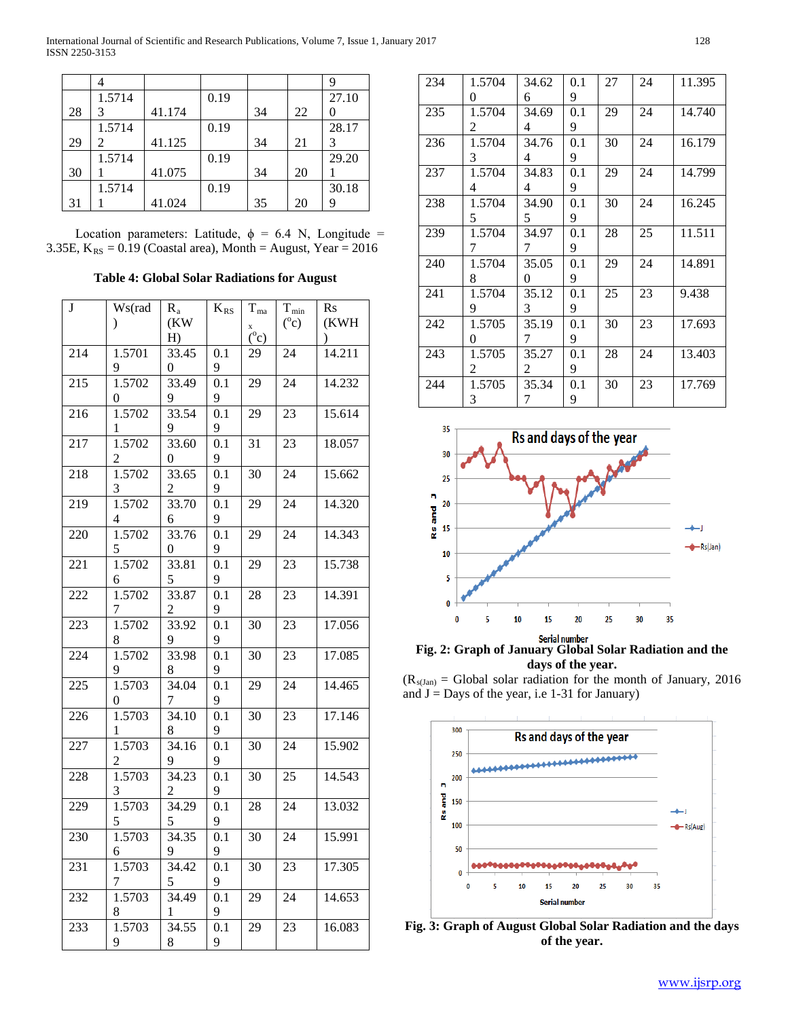|    | 1.5714 |        | 0.19 |    |    | 27.10 |
|----|--------|--------|------|----|----|-------|
| 28 |        | 41.174 |      | 34 | 22 |       |
|    | 1.5714 |        | 0.19 |    |    | 28.17 |
| 29 | 2      | 41.125 |      | 34 | 21 | 3     |
|    | 1.5714 |        | 0.19 |    |    | 29.20 |
| 30 |        | 41.075 |      | 34 | 20 |       |
|    | 1.5714 |        | 0.19 |    |    | 30.18 |
| 31 |        | 41.024 |      | 35 | 20 |       |

Location parameters: Latitude,  $\phi = 6.4$  N, Longitude = 3.35E,  $K_{RS} = 0.19$  (Coastal area), Month = August, Year = 2016

**Table 4: Global Solar Radiations for August**

| J   | Ws(rad        | $R_a$          | $K_{\rm RS}$ | $T_{ma}$                  | $\rm T_{min}$ | R <sub>S</sub> |
|-----|---------------|----------------|--------------|---------------------------|---------------|----------------|
|     | $\mathcal{E}$ | (KW            |              | X                         | $(^0c)$       | (KWH           |
|     |               | H              |              | $\overline{C}^{\circ}$ c) |               |                |
| 214 | 1.5701        | 33.45          | 0.1          | 29                        | 24            | 14.211         |
|     | 9             | 0              | 9            |                           |               |                |
| 215 | 1.5702        | 33.49          | 0.1          | 29                        | 24            | 14.232         |
|     | 0             | 9              | 9            |                           |               |                |
| 216 | 1.5702        | 33.54          | 0.1          | 29                        | 23            | 15.614         |
|     | 1             | 9              | 9            |                           |               |                |
| 217 | 1.5702        | 33.60          | 0.1          | 31                        | 23            | 18.057         |
|     | 2             | 0              | 9            |                           |               |                |
| 218 | 1.5702        | 33.65          | 0.1          | 30                        | 24            | 15.662         |
|     | 3             | $\overline{c}$ | 9            |                           |               |                |
| 219 | 1.5702        | 33.70          | 0.1          | 29                        | 24            | 14.320         |
|     | 4             | 6              | 9            |                           |               |                |
| 220 | 1.5702        | 33.76          | 0.1          | 29                        | 24            | 14.343         |
|     | 5             | 0              | 9            |                           |               |                |
| 221 | 1.5702        | 33.81          | 0.1          | 29                        | 23            | 15.738         |
|     | 6             | 5              | 9            |                           |               |                |
| 222 | 1.5702        | 33.87          | 0.1          | 28                        | 23            | 14.391         |
|     | 7             | 2              | 9            |                           |               |                |
| 223 | 1.5702        | 33.92          | 0.1          | 30                        | 23            | 17.056         |
|     | 8             | 9              | 9            |                           |               |                |
| 224 | 1.5702        | 33.98          | 0.1          | 30                        | 23            | 17.085         |
|     | 9             | 8              | 9            |                           |               |                |
| 225 | 1.5703        | 34.04          | 0.1          | 29                        | 24            | 14.465         |
|     | 0             | 7              | 9            |                           |               |                |
| 226 | 1.5703        | 34.10          | 0.1          | 30                        | 23            | 17.146         |
|     | 1             | 8              | 9            |                           |               |                |
| 227 | 1.5703        | 34.16          | 0.1          | 30                        | 24            | 15.902         |
|     | 2<br>1.5703   | 9<br>34.23     | 9<br>0.1     |                           |               | 14.543         |
| 228 | 3             | 2              | 9            | 30                        | 25            |                |
|     | 1.5703        | 34.29          |              |                           |               | 13.032         |
| 229 | 5             | 5              | 0.1<br>9     | 28                        | 24            |                |
| 230 | 1.5703        | 34.35          | 0.1          | 30                        | 24            | 15.991         |
|     | 6             | 9              | 9            |                           |               |                |
| 231 | 1.5703        | 34.42          | 0.1          | 30                        | 23            | 17.305         |
|     | 7             | 5              | 9            |                           |               |                |
| 232 | 1.5703        | 34.49          | 0.1          | 29                        | 24            | 14.653         |
|     | 8             | 1              | 9            |                           |               |                |
| 233 | 1.5703        | 34.55          | 0.1          | 29                        | 23            | 16.083         |
|     | 9             | 8              | 9            |                           |               |                |
|     |               |                |              |                           |               |                |

| 234 | 1.5704 | 34.62 | 0.1 | 27 | 24 | 11.395 |
|-----|--------|-------|-----|----|----|--------|
|     | 0      | 6     | 9   |    |    |        |
| 235 | 1.5704 | 34.69 | 0.1 | 29 | 24 | 14.740 |
|     | 2      | 4     | 9   |    |    |        |
| 236 | 1.5704 | 34.76 | 0.1 | 30 | 24 | 16.179 |
|     | 3      | 4     | 9   |    |    |        |
| 237 | 1.5704 | 34.83 | 0.1 | 29 | 24 | 14.799 |
|     | 4      | 4     | 9   |    |    |        |
| 238 | 1.5704 | 34.90 | 0.1 | 30 | 24 | 16.245 |
|     | 5      | 5     | 9   |    |    |        |
| 239 | 1.5704 | 34.97 | 0.1 | 28 | 25 | 11.511 |
|     | 7      | 7     | 9   |    |    |        |
| 240 | 1.5704 | 35.05 | 0.1 | 29 | 24 | 14.891 |
|     | 8      | 0     | 9   |    |    |        |
| 241 | 1.5704 | 35.12 | 0.1 | 25 | 23 | 9.438  |
|     | 9      | 3     | 9   |    |    |        |
| 242 | 1.5705 | 35.19 | 0.1 | 30 | 23 | 17.693 |
|     | 0      | 7     | 9   |    |    |        |
| 243 | 1.5705 | 35.27 | 0.1 | 28 | 24 | 13.403 |
|     | 2      | 2     | 9   |    |    |        |
| 244 | 1.5705 | 35.34 | 0.1 | 30 | 23 | 17.769 |
|     | 3      | 7     | 9   |    |    |        |



**Fig. 2: Graph of January Global Solar Radiation and the days of the year.**

 $(R<sub>s(Jan)</sub> = Global solar radiation for the month of January, 2016)$ and  $J =$  Days of the year, i.e 1-31 for January)



**Fig. 3: Graph of August Global Solar Radiation and the days of the year.**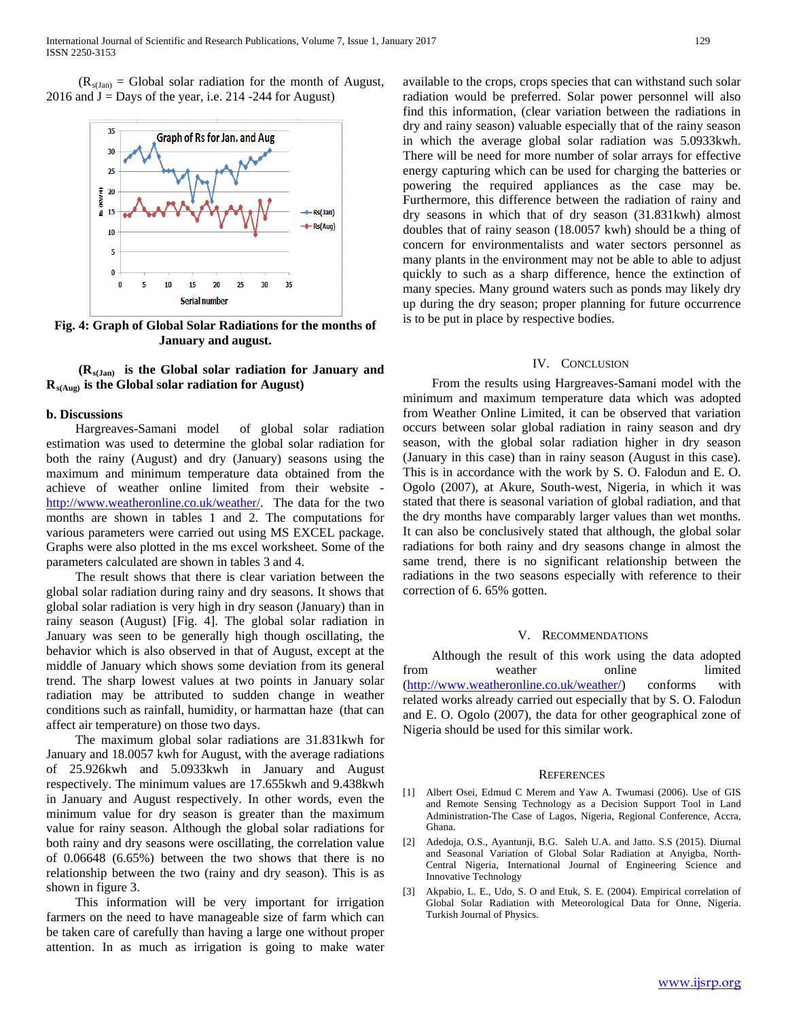$(R_{s(Jan)} = Global solar$  radiation for the month of August, 2016 and  $J =$  Days of the year, i.e. 214 -244 for August)



**Fig. 4: Graph of Global Solar Radiations for the months of January and august.**

 **(Rs(Jan) is the Global solar radiation for January and Rs(Aug) is the Global solar radiation for August)**

### **b. Discussions**

 Hargreaves-Samani model of global solar radiation estimation was used to determine the global solar radiation for both the rainy (August) and dry (January) seasons using the maximum and minimum temperature data obtained from the achieve of weather online limited from their website [http://www.weatheronline.co.uk/weather/.](http://www.weatheronline.co.uk/weather/) The data for the two months are shown in tables 1 and 2. The computations for various parameters were carried out using MS EXCEL package. Graphs were also plotted in the ms excel worksheet. Some of the parameters calculated are shown in tables 3 and 4.

 The result shows that there is clear variation between the global solar radiation during rainy and dry seasons. It shows that global solar radiation is very high in dry season (January) than in rainy season (August) [Fig. 4]. The global solar radiation in January was seen to be generally high though oscillating, the behavior which is also observed in that of August, except at the middle of January which shows some deviation from its general trend. The sharp lowest values at two points in January solar radiation may be attributed to sudden change in weather conditions such as rainfall, humidity, or harmattan haze (that can affect air temperature) on those two days.

 The maximum global solar radiations are 31.831kwh for January and 18.0057 kwh for August, with the average radiations of 25.926kwh and 5.0933kwh in January and August respectively. The minimum values are 17.655kwh and 9.438kwh in January and August respectively. In other words, even the minimum value for dry season is greater than the maximum value for rainy season. Although the global solar radiations for both rainy and dry seasons were oscillating, the correlation value of 0.06648 (6.65%) between the two shows that there is no relationship between the two (rainy and dry season). This is as shown in figure 3.

 This information will be very important for irrigation farmers on the need to have manageable size of farm which can be taken care of carefully than having a large one without proper attention. In as much as irrigation is going to make water

available to the crops, crops species that can withstand such solar radiation would be preferred. Solar power personnel will also find this information, (clear variation between the radiations in dry and rainy season) valuable especially that of the rainy season in which the average global solar radiation was 5.0933kwh. There will be need for more number of solar arrays for effective energy capturing which can be used for charging the batteries or powering the required appliances as the case may be. Furthermore, this difference between the radiation of rainy and dry seasons in which that of dry season (31.831kwh) almost doubles that of rainy season (18.0057 kwh) should be a thing of concern for environmentalists and water sectors personnel as many plants in the environment may not be able to able to adjust quickly to such as a sharp difference, hence the extinction of many species. Many ground waters such as ponds may likely dry up during the dry season; proper planning for future occurrence is to be put in place by respective bodies.

#### IV. CONCLUSION

 From the results using Hargreaves-Samani model with the minimum and maximum temperature data which was adopted from Weather Online Limited, it can be observed that variation occurs between solar global radiation in rainy season and dry season, with the global solar radiation higher in dry season (January in this case) than in rainy season (August in this case). This is in accordance with the work by S. O. Falodun and E. O. Ogolo (2007), at Akure, South-west, Nigeria, in which it was stated that there is seasonal variation of global radiation, and that the dry months have comparably larger values than wet months. It can also be conclusively stated that although, the global solar radiations for both rainy and dry seasons change in almost the same trend, there is no significant relationship between the radiations in the two seasons especially with reference to their correction of 6. 65% gotten.

#### V. RECOMMENDATIONS

 Although the result of this work using the data adopted from weather online limited [\(http://www.weatheronline.co.uk/weather/\)](http://www.weatheronline.co.uk/weather/) conforms with related works already carried out especially that by S. O. Falodun and E. O. Ogolo (2007), the data for other geographical zone of Nigeria should be used for this similar work.

#### **REFERENCES**

- [1] Albert Osei, Edmud C Merem and Yaw A. Twumasi (2006). Use of GIS and Remote Sensing Technology as a Decision Support Tool in Land Administration-The Case of Lagos, Nigeria, Regional Conference, Accra, Ghana.
- [2] Adedoja, O.S., Ayantunji, B.G. Saleh U.A. and Jatto. S.S (2015). Diurnal and Seasonal Variation of Global Solar Radiation at Anyigba, North-Central Nigeria, International Journal of Engineering Science and Innovative Technology
- [3] Akpabio, L. E., Udo, S. O and Etuk, S. E. (2004). Empirical correlation of Global Solar Radiation with Meteorological Data for Onne, Nigeria. Turkish Journal of Physics.